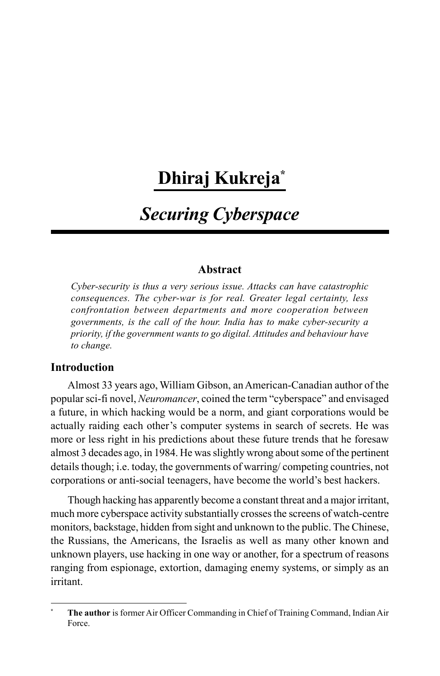# **Dhiraj Kukreja\***

# *Securing Cyberspace*

## **Abstract**

*Cyber-security is thus a very serious issue. Attacks can have catastrophic consequences. The cyber-war is for real. Greater legal certainty, less confrontation between departments and more cooperation between governments, is the call of the hour. India has to make cyber-security a priority, if the government wants to go digital. Attitudes and behaviour have to change.*

## **Introduction**

Almost 33 years ago, William Gibson, an American-Canadian author of the popular sci-fi novel, *Neuromancer*, coined the term "cyberspace" and envisaged a future, in which hacking would be a norm, and giant corporations would be actually raiding each other's computer systems in search of secrets. He was more or less right in his predictions about these future trends that he foresaw almost 3 decades ago, in 1984. He was slightly wrong about some of the pertinent details though; i.e. today, the governments of warring/ competing countries, not corporations or anti-social teenagers, have become the world's best hackers.

Though hacking has apparently become a constant threat and a major irritant, much more cyberspace activity substantially crosses the screens of watch-centre monitors, backstage, hidden from sight and unknown to the public. The Chinese, the Russians, the Americans, the Israelis as well as many other known and unknown players, use hacking in one way or another, for a spectrum of reasons ranging from espionage, extortion, damaging enemy systems, or simply as an irritant.

**<sup>\*</sup> The author** is former Air Officer Commanding in Chief of Training Command, Indian Air Force.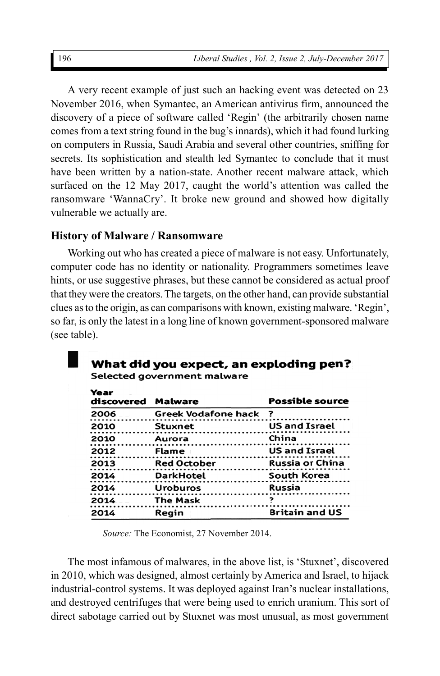A very recent example of just such an hacking event was detected on 23 November 2016, when Symantec, an American antivirus firm, announced the discovery of a piece of software called 'Regin' (the arbitrarily chosen name comes from a text string found in the bug's innards), which it had found lurking on computers in Russia, Saudi Arabia and several other countries, sniffing for secrets. Its sophistication and stealth led Symantec to conclude that it must have been written by a nation-state. Another recent malware attack, which surfaced on the 12 May 2017, caught the world's attention was called the ransomware 'WannaCry'. It broke new ground and showed how digitally vulnerable we actually are.

## **History of Malware / Ransomware**

Working out who has created a piece of malware is not easy. Unfortunately, computer code has no identity or nationality. Programmers sometimes leave hints, or use suggestive phrases, but these cannot be considered as actual proof that they were the creators. The targets, on the other hand, can provide substantial clues as to the origin, as can comparisons with known, existing malware. 'Regin', so far, is only the latest in a long line of known government-sponsored malware (see table).

#### What did you expect, an exploding pen? Selected government malware

| Year<br>discovered | <b>Malware</b>        | <b>Possible source</b> |  |  |
|--------------------|-----------------------|------------------------|--|--|
| 2006               | Greek Vodafone hack ? |                        |  |  |
| 2010               | Stuxnet               | <b>US and Israel</b>   |  |  |
| 2010               | Aurora                | China                  |  |  |
| 2012               | Flame                 | <b>US and Israel</b>   |  |  |
| 2013               | <b>Red October</b>    | <b>Russia or China</b> |  |  |
| 2014               | <b>DarkHotel</b>      | South Korea            |  |  |
| 2014               | Uroburos              | Russia                 |  |  |
| 2014               | <b>The Mask</b>       | 7                      |  |  |
| 2014               | Regin                 | <b>Britain and US</b>  |  |  |

*Source:* The Economist, 27 November 2014.

The most infamous of malwares, in the above list, is 'Stuxnet', discovered in 2010, which was designed, almost certainly by America and Israel, to hijack industrial-control systems. It was deployed against Iran's nuclear installations, and destroyed centrifuges that were being used to enrich uranium. This sort of direct sabotage carried out by Stuxnet was most unusual, as most government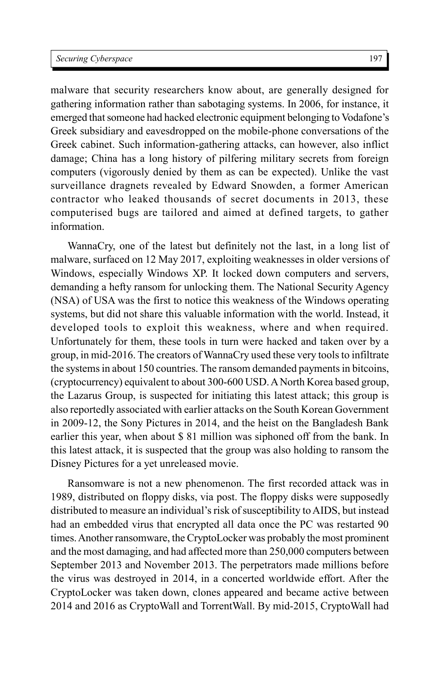malware that security researchers know about, are generally designed for gathering information rather than sabotaging systems. In 2006, for instance, it emerged that someone had hacked electronic equipment belonging to Vodafone's Greek subsidiary and eavesdropped on the mobile-phone conversations of the Greek cabinet. Such information-gathering attacks, can however, also inflict damage; China has a long history of pilfering military secrets from foreign computers (vigorously denied by them as can be expected). Unlike the vast surveillance dragnets revealed by Edward Snowden, a former American contractor who leaked thousands of secret documents in 2013, these computerised bugs are tailored and aimed at defined targets, to gather information.

WannaCry, one of the latest but definitely not the last, in a long list of malware, surfaced on 12 May 2017, exploiting weaknesses in older versions of Windows, especially Windows XP. It locked down computers and servers, demanding a hefty ransom for unlocking them. The National Security Agency (NSA) of USA was the first to notice this weakness of the Windows operating systems, but did not share this valuable information with the world. Instead, it developed tools to exploit this weakness, where and when required. Unfortunately for them, these tools in turn were hacked and taken over by a group, in mid-2016. The creators of WannaCry used these very tools to infiltrate the systems in about 150 countries. The ransom demanded payments in bitcoins, (cryptocurrency) equivalent to about 300-600 USD. A North Korea based group, the Lazarus Group, is suspected for initiating this latest attack; this group is also reportedly associated with earlier attacks on the South Korean Government in 2009-12, the Sony Pictures in 2014, and the heist on the Bangladesh Bank earlier this year, when about \$ 81 million was siphoned off from the bank. In this latest attack, it is suspected that the group was also holding to ransom the Disney Pictures for a yet unreleased movie.

Ransomware is not a new phenomenon. The first recorded attack was in 1989, distributed on floppy disks, via post. The floppy disks were supposedly distributed to measure an individual's risk of susceptibility to AIDS, but instead had an embedded virus that encrypted all data once the PC was restarted 90 times. Another ransomware, the CryptoLocker was probably the most prominent and the most damaging, and had affected more than 250,000 computers between September 2013 and November 2013. The perpetrators made millions before the virus was destroyed in 2014, in a concerted worldwide effort. After the CryptoLocker was taken down, clones appeared and became active between 2014 and 2016 as CryptoWall and TorrentWall. By mid-2015, CryptoWall had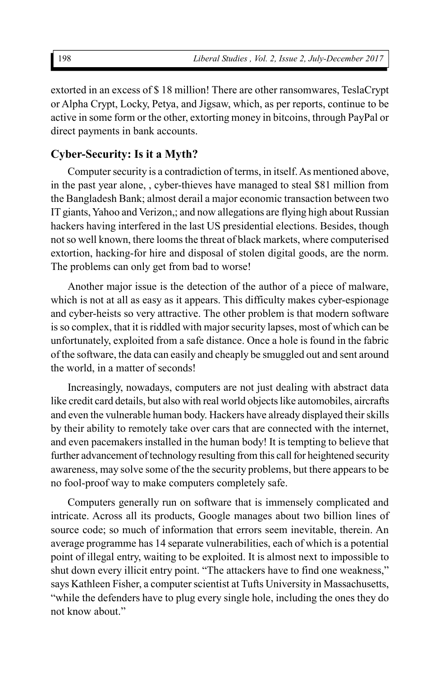extorted in an excess of \$ 18 million! There are other ransomwares, TeslaCrypt or Alpha Crypt, Locky, Petya, and Jigsaw, which, as per reports, continue to be active in some form or the other, extorting money in bitcoins, through PayPal or direct payments in bank accounts.

## **Cyber-Security: Is it a Myth?**

Computer security is a contradiction of terms, in itself. As mentioned above, in the past year alone, , cyber-thieves have managed to steal \$81 million from the Bangladesh Bank; almost derail a major economic transaction between two IT giants, Yahoo and Verizon,; and now allegations are flying high about Russian hackers having interfered in the last US presidential elections. Besides, though not so well known, there looms the threat of black markets, where computerised extortion, hacking-for hire and disposal of stolen digital goods, are the norm. The problems can only get from bad to worse!

Another major issue is the detection of the author of a piece of malware, which is not at all as easy as it appears. This difficulty makes cyber-espionage and cyber-heists so very attractive. The other problem is that modern software is so complex, that it is riddled with major security lapses, most of which can be unfortunately, exploited from a safe distance. Once a hole is found in the fabric of the software, the data can easily and cheaply be smuggled out and sent around the world, in a matter of seconds!

Increasingly, nowadays, computers are not just dealing with abstract data like credit card details, but also with real world objects like automobiles, aircrafts and even the vulnerable human body. Hackers have already displayed their skills by their ability to remotely take over cars that are connected with the internet, and even pacemakers installed in the human body! It is tempting to believe that further advancement of technology resulting from this call for heightened security awareness, may solve some of the the security problems, but there appears to be no fool-proof way to make computers completely safe.

Computers generally run on software that is immensely complicated and intricate. Across all its products, Google manages about two billion lines of source code; so much of information that errors seem inevitable, therein. An average programme has 14 separate vulnerabilities, each of which is a potential point of illegal entry, waiting to be exploited. It is almost next to impossible to shut down every illicit entry point. "The attackers have to find one weakness," says Kathleen Fisher, a computer scientist at Tufts University in Massachusetts, "while the defenders have to plug every single hole, including the ones they do not know about."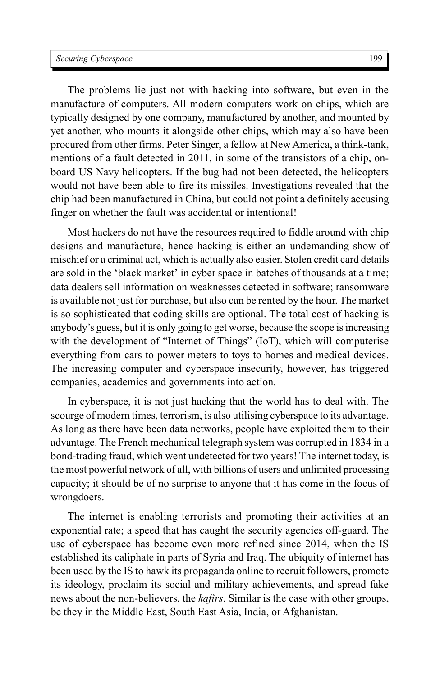The problems lie just not with hacking into software, but even in the manufacture of computers. All modern computers work on chips, which are typically designed by one company, manufactured by another, and mounted by yet another, who mounts it alongside other chips, which may also have been procured from other firms. Peter Singer, a fellow at New America, a think-tank, mentions of a fault detected in 2011, in some of the transistors of a chip, onboard US Navy helicopters. If the bug had not been detected, the helicopters would not have been able to fire its missiles. Investigations revealed that the chip had been manufactured in China, but could not point a definitely accusing finger on whether the fault was accidental or intentional!

Most hackers do not have the resources required to fiddle around with chip designs and manufacture, hence hacking is either an undemanding show of mischief or a criminal act, which is actually also easier. Stolen credit card details are sold in the 'black market' in cyber space in batches of thousands at a time; data dealers sell information on weaknesses detected in software; ransomware is available not just for purchase, but also can be rented by the hour. The market is so sophisticated that coding skills are optional. The total cost of hacking is anybody's guess, but it is only going to get worse, because the scope is increasing with the development of "Internet of Things" (IoT), which will computerise everything from cars to power meters to toys to homes and medical devices. The increasing computer and cyberspace insecurity, however, has triggered companies, academics and governments into action.

In cyberspace, it is not just hacking that the world has to deal with. The scourge of modern times, terrorism, is also utilising cyberspace to its advantage. As long as there have been data networks, people have exploited them to their advantage. The French mechanical telegraph system was corrupted in 1834 in a bond-trading fraud, which went undetected for two years! The internet today, is the most powerful network of all, with billions of users and unlimited processing capacity; it should be of no surprise to anyone that it has come in the focus of wrongdoers.

The internet is enabling terrorists and promoting their activities at an exponential rate; a speed that has caught the security agencies off-guard. The use of cyberspace has become even more refined since 2014, when the IS established its caliphate in parts of Syria and Iraq. The ubiquity of internet has been used by the IS to hawk its propaganda online to recruit followers, promote its ideology, proclaim its social and military achievements, and spread fake news about the non-believers, the *kafirs*. Similar is the case with other groups, be they in the Middle East, South East Asia, India, or Afghanistan.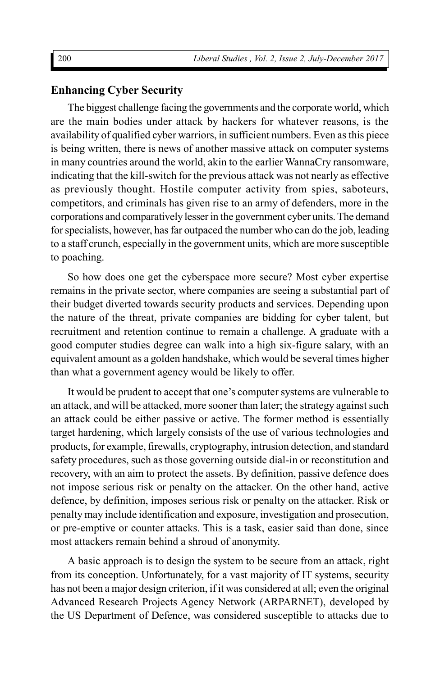# **Enhancing Cyber Security**

The biggest challenge facing the governments and the corporate world, which are the main bodies under attack by hackers for whatever reasons, is the availability of qualified cyber warriors, in sufficient numbers. Even as this piece is being written, there is news of another massive attack on computer systems in many countries around the world, akin to the earlier WannaCry ransomware, indicating that the kill-switch for the previous attack was not nearly as effective as previously thought. Hostile computer activity from spies, saboteurs, competitors, and criminals has given rise to an army of defenders, more in the corporations and comparatively lesser in the government cyber units. The demand for specialists, however, has far outpaced the number who can do the job, leading to a staff crunch, especially in the government units, which are more susceptible to poaching.

So how does one get the cyberspace more secure? Most cyber expertise remains in the private sector, where companies are seeing a substantial part of their budget diverted towards security products and services. Depending upon the nature of the threat, private companies are bidding for cyber talent, but recruitment and retention continue to remain a challenge. A graduate with a good computer studies degree can walk into a high six-figure salary, with an equivalent amount as a golden handshake, which would be several times higher than what a government agency would be likely to offer.

It would be prudent to accept that one's computer systems are vulnerable to an attack, and will be attacked, more sooner than later; the strategy against such an attack could be either passive or active. The former method is essentially target hardening, which largely consists of the use of various technologies and products, for example, firewalls, cryptography, intrusion detection, and standard safety procedures, such as those governing outside dial-in or reconstitution and recovery, with an aim to protect the assets. By definition, passive defence does not impose serious risk or penalty on the attacker. On the other hand, active defence, by definition, imposes serious risk or penalty on the attacker. Risk or penalty may include identification and exposure, investigation and prosecution, or pre-emptive or counter attacks. This is a task, easier said than done, since most attackers remain behind a shroud of anonymity.

A basic approach is to design the system to be secure from an attack, right from its conception. Unfortunately, for a vast majority of IT systems, security has not been a major design criterion, if it was considered at all; even the original Advanced Research Projects Agency Network (ARPARNET), developed by the US Department of Defence, was considered susceptible to attacks due to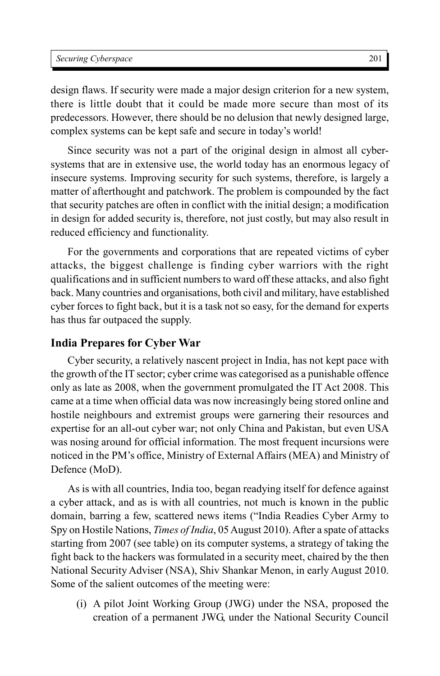design flaws. If security were made a major design criterion for a new system, there is little doubt that it could be made more secure than most of its predecessors. However, there should be no delusion that newly designed large, complex systems can be kept safe and secure in today's world!

Since security was not a part of the original design in almost all cybersystems that are in extensive use, the world today has an enormous legacy of insecure systems. Improving security for such systems, therefore, is largely a matter of afterthought and patchwork. The problem is compounded by the fact that security patches are often in conflict with the initial design; a modification in design for added security is, therefore, not just costly, but may also result in reduced efficiency and functionality.

For the governments and corporations that are repeated victims of cyber attacks, the biggest challenge is finding cyber warriors with the right qualifications and in sufficient numbers to ward off these attacks, and also fight back. Many countries and organisations, both civil and military, have established cyber forces to fight back, but it is a task not so easy, for the demand for experts has thus far outpaced the supply.

## **India Prepares for Cyber War**

Cyber security, a relatively nascent project in India, has not kept pace with the growth of the IT sector; cyber crime was categorised as a punishable offence only as late as 2008, when the government promulgated the IT Act 2008. This came at a time when official data was now increasingly being stored online and hostile neighbours and extremist groups were garnering their resources and expertise for an all-out cyber war; not only China and Pakistan, but even USA was nosing around for official information. The most frequent incursions were noticed in the PM's office, Ministry of External Affairs (MEA) and Ministry of Defence (MoD).

As is with all countries, India too, began readying itself for defence against a cyber attack, and as is with all countries, not much is known in the public domain, barring a few, scattered news items ("India Readies Cyber Army to Spy on Hostile Nations, *Times of India*, 05 August 2010). After a spate of attacks starting from 2007 (see table) on its computer systems, a strategy of taking the fight back to the hackers was formulated in a security meet, chaired by the then National Security Adviser (NSA), Shiv Shankar Menon, in early August 2010. Some of the salient outcomes of the meeting were:

(i) A pilot Joint Working Group (JWG) under the NSA, proposed the creation of a permanent JWG, under the National Security Council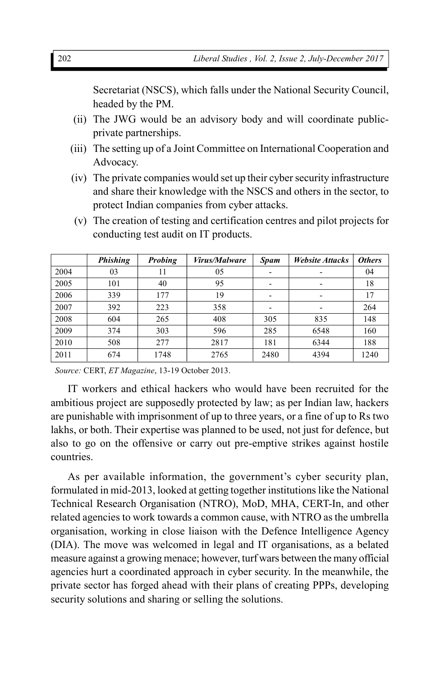Secretariat (NSCS), which falls under the National Security Council, headed by the PM.

- (ii) The JWG would be an advisory body and will coordinate publicprivate partnerships.
- (iii) The setting up of a Joint Committee on International Cooperation and Advocacy.
- (iv) The private companies would set up their cyber security infrastructure and share their knowledge with the NSCS and others in the sector, to protect Indian companies from cyber attacks.
- (v) The creation of testing and certification centres and pilot projects for conducting test audit on IT products.

|      | <b>Phishing</b> | Probing | <i>Virus/Malware</i> | <b>Spam</b>              | <b>Website Attacks</b> | <b>Others</b> |
|------|-----------------|---------|----------------------|--------------------------|------------------------|---------------|
| 2004 | 03              | 11      | 05                   |                          |                        | 04            |
| 2005 | 101             | 40      | 95                   | $\overline{\phantom{0}}$ |                        | 18            |
| 2006 | 339             | 177     | 19                   | $\overline{\phantom{0}}$ |                        | 17            |
| 2007 | 392             | 223     | 358                  |                          |                        | 264           |
| 2008 | 604             | 265     | 408                  | 305                      | 835                    | 148           |
| 2009 | 374             | 303     | 596                  | 285                      | 6548                   | 160           |
| 2010 | 508             | 277     | 2817                 | 181                      | 6344                   | 188           |
| 2011 | 674             | 1748    | 2765                 | 2480                     | 4394                   | 1240          |

*Source:* CERT, *ET Magazine*, 13-19 October 2013.

IT workers and ethical hackers who would have been recruited for the ambitious project are supposedly protected by law; as per Indian law, hackers are punishable with imprisonment of up to three years, or a fine of up to Rs two lakhs, or both. Their expertise was planned to be used, not just for defence, but also to go on the offensive or carry out pre-emptive strikes against hostile countries.

As per available information, the government's cyber security plan, formulated in mid-2013, looked at getting together institutions like the National Technical Research Organisation (NTRO), MoD, MHA, CERT-In, and other related agencies to work towards a common cause, with NTRO as the umbrella organisation, working in close liaison with the Defence Intelligence Agency (DIA). The move was welcomed in legal and IT organisations, as a belated measure against a growing menace; however, turf wars between the many official agencies hurt a coordinated approach in cyber security. In the meanwhile, the private sector has forged ahead with their plans of creating PPPs, developing security solutions and sharing or selling the solutions.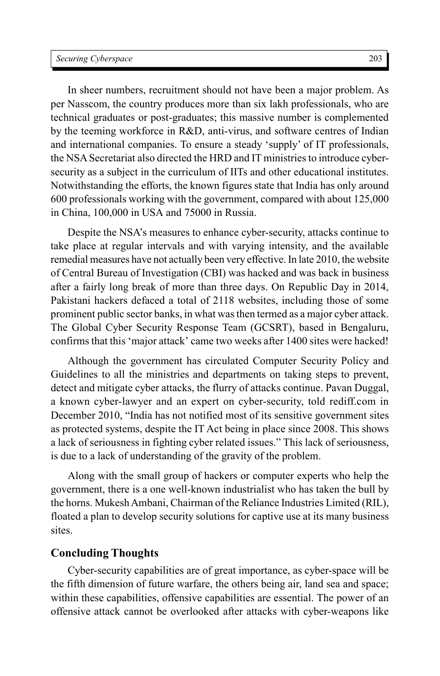In sheer numbers, recruitment should not have been a major problem. As per Nasscom, the country produces more than six lakh professionals, who are technical graduates or post-graduates; this massive number is complemented by the teeming workforce in R&D, anti-virus, and software centres of Indian and international companies. To ensure a steady 'supply' of IT professionals, the NSA Secretariat also directed the HRD and IT ministries to introduce cybersecurity as a subject in the curriculum of IITs and other educational institutes. Notwithstanding the efforts, the known figures state that India has only around 600 professionals working with the government, compared with about 125,000 in China, 100,000 in USA and 75000 in Russia.

Despite the NSA's measures to enhance cyber-security, attacks continue to take place at regular intervals and with varying intensity, and the available remedial measures have not actually been very effective. In late 2010, the website of Central Bureau of Investigation (CBI) was hacked and was back in business after a fairly long break of more than three days. On Republic Day in 2014, Pakistani hackers defaced a total of 2118 websites, including those of some prominent public sector banks, in what was then termed as a major cyber attack. The Global Cyber Security Response Team (GCSRT), based in Bengaluru, confirms that this 'major attack' came two weeks after 1400 sites were hacked!

Although the government has circulated Computer Security Policy and Guidelines to all the ministries and departments on taking steps to prevent, detect and mitigate cyber attacks, the flurry of attacks continue. Pavan Duggal, a known cyber-lawyer and an expert on cyber-security, told rediff.com in December 2010, "India has not notified most of its sensitive government sites as protected systems, despite the IT Act being in place since 2008. This shows a lack of seriousness in fighting cyber related issues." This lack of seriousness, is due to a lack of understanding of the gravity of the problem.

Along with the small group of hackers or computer experts who help the government, there is a one well-known industrialist who has taken the bull by the horns. Mukesh Ambani, Chairman of the Reliance Industries Limited (RIL), floated a plan to develop security solutions for captive use at its many business sites.

### **Concluding Thoughts**

Cyber-security capabilities are of great importance, as cyber-space will be the fifth dimension of future warfare, the others being air, land sea and space; within these capabilities, offensive capabilities are essential. The power of an offensive attack cannot be overlooked after attacks with cyber-weapons like